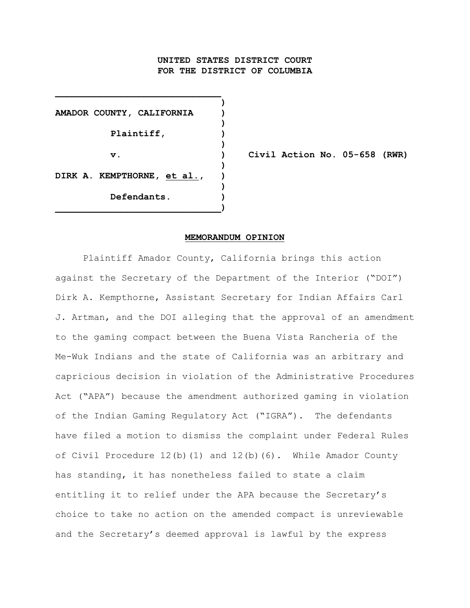# **UNITED STATES DISTRICT COURT FOR THE DISTRICT OF COLUMBIA**

**)**

**)**

**)**

**)**

**)**

**AMADOR COUNTY, CALIFORNIA ) Plaintiff, ) DIRK A. KEMPTHORNE, et al., ) Defendants. ) \_\_\_\_\_\_\_\_\_\_\_\_\_\_\_\_\_\_\_\_\_\_\_\_\_\_\_\_\_\_)**

**\_\_\_\_\_\_\_\_\_\_\_\_\_\_\_\_\_\_\_\_\_\_\_\_\_\_\_\_\_\_**

**v. ) Civil Action No. 05-658 (RWR)**

#### **MEMORANDUM OPINION**

Plaintiff Amador County, California brings this action against the Secretary of the Department of the Interior ("DOI") Dirk A. Kempthorne, Assistant Secretary for Indian Affairs Carl J. Artman, and the DOI alleging that the approval of an amendment to the gaming compact between the Buena Vista Rancheria of the Me-Wuk Indians and the state of California was an arbitrary and capricious decision in violation of the Administrative Procedures Act ("APA") because the amendment authorized gaming in violation of the Indian Gaming Regulatory Act ("IGRA"). The defendants have filed a motion to dismiss the complaint under Federal Rules of Civil Procedure 12(b)(1) and 12(b)(6). While Amador County has standing, it has nonetheless failed to state a claim entitling it to relief under the APA because the Secretary's choice to take no action on the amended compact is unreviewable and the Secretary's deemed approval is lawful by the express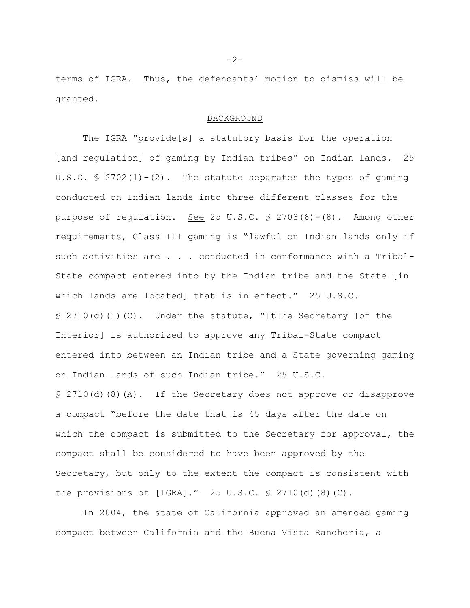terms of IGRA. Thus, the defendants' motion to dismiss will be granted.

## BACKGROUND

The IGRA "provide[s] a statutory basis for the operation [and regulation] of gaming by Indian tribes" on Indian lands. 25 U.S.C.  $\frac{1}{2}$  2702(1) - (2). The statute separates the types of gaming conducted on Indian lands into three different classes for the purpose of regulation. See 25 U.S.C. § 2703(6)-(8). Among other requirements, Class III gaming is "lawful on Indian lands only if such activities are . . . conducted in conformance with a Tribal-State compact entered into by the Indian tribe and the State [in which lands are located] that is in effect." 25 U.S.C.  $\text{S}$  2710(d)(1)(C). Under the statute, "[t]he Secretary [of the Interior] is authorized to approve any Tribal-State compact entered into between an Indian tribe and a State governing gaming on Indian lands of such Indian tribe." 25 U.S.C. § 2710(d)(8)(A). If the Secretary does not approve or disapprove a compact "before the date that is 45 days after the date on which the compact is submitted to the Secretary for approval, the compact shall be considered to have been approved by the Secretary, but only to the extent the compact is consistent with the provisions of  $[IGRA]$ ." 25 U.S.C.  $\frac{1}{5}$  2710(d)(8)(C).

In 2004, the state of California approved an amended gaming compact between California and the Buena Vista Rancheria, a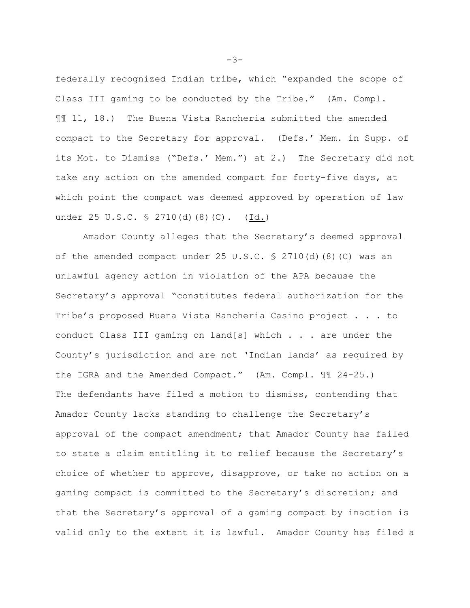federally recognized Indian tribe, which "expanded the scope of Class III gaming to be conducted by the Tribe." (Am. Compl. ¶¶ 11, 18.) The Buena Vista Rancheria submitted the amended compact to the Secretary for approval. (Defs.' Mem. in Supp. of its Mot. to Dismiss ("Defs.' Mem.") at 2.) The Secretary did not take any action on the amended compact for forty-five days, at which point the compact was deemed approved by operation of law under 25 U.S.C. § 2710(d)(8)(C). (Id.)

Amador County alleges that the Secretary's deemed approval of the amended compact under 25 U.S.C.  $\frac{1}{5}$  2710(d)(8)(C) was an unlawful agency action in violation of the APA because the Secretary's approval "constitutes federal authorization for the Tribe's proposed Buena Vista Rancheria Casino project . . . to conduct Class III gaming on land[s] which . . . are under the County's jurisdiction and are not 'Indian lands' as required by the IGRA and the Amended Compact." (Am. Compl. ¶¶ 24-25.) The defendants have filed a motion to dismiss, contending that Amador County lacks standing to challenge the Secretary's approval of the compact amendment; that Amador County has failed to state a claim entitling it to relief because the Secretary's choice of whether to approve, disapprove, or take no action on a gaming compact is committed to the Secretary's discretion; and that the Secretary's approval of a gaming compact by inaction is valid only to the extent it is lawful. Amador County has filed a

-3-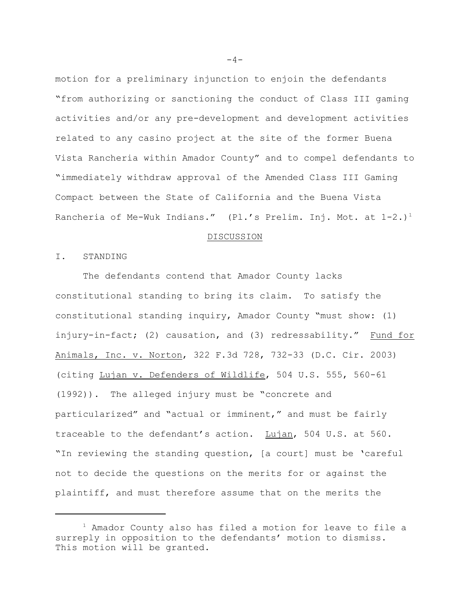motion for a preliminary injunction to enjoin the defendants "from authorizing or sanctioning the conduct of Class III gaming activities and/or any pre-development and development activities related to any casino project at the site of the former Buena Vista Rancheria within Amador County" and to compel defendants to "immediately withdraw approval of the Amended Class III Gaming Compact between the State of California and the Buena Vista Rancheria of Me-Wuk Indians." (Pl.'s Prelim. Inj. Mot. at  $1-2.$ )<sup>1</sup>

#### DISCUSSION

I. STANDING

The defendants contend that Amador County lacks constitutional standing to bring its claim. To satisfy the constitutional standing inquiry, Amador County "must show: (1) injury-in-fact; (2) causation, and (3) redressability." Fund for Animals, Inc. v. Norton, 322 F.3d 728, 732-33 (D.C. Cir. 2003) (citing Lujan v. Defenders of Wildlife, 504 U.S. 555, 560-61 (1992)). The alleged injury must be "concrete and particularized" and "actual or imminent," and must be fairly traceable to the defendant's action. Lujan, 504 U.S. at 560. "In reviewing the standing question, [a court] must be 'careful not to decide the questions on the merits for or against the plaintiff, and must therefore assume that on the merits the

 $-4-$ 

 $1$  Amador County also has filed a motion for leave to file a surreply in opposition to the defendants' motion to dismiss. This motion will be granted.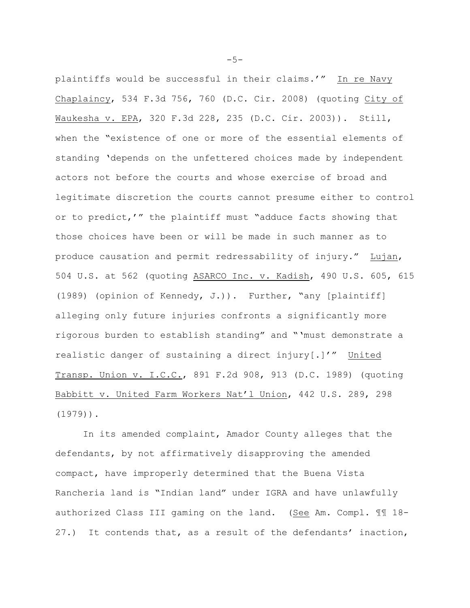plaintiffs would be successful in their claims.'" In re Navy Chaplaincy, 534 F.3d 756, 760 (D.C. Cir. 2008) (quoting City of Waukesha v. EPA, 320 F.3d 228, 235 (D.C. Cir. 2003)). Still, when the "existence of one or more of the essential elements of standing 'depends on the unfettered choices made by independent actors not before the courts and whose exercise of broad and legitimate discretion the courts cannot presume either to control or to predict,'" the plaintiff must "adduce facts showing that those choices have been or will be made in such manner as to produce causation and permit redressability of injury." Lujan, 504 U.S. at 562 (quoting ASARCO Inc. v. Kadish, 490 U.S. 605, 615 (1989) (opinion of Kennedy, J.)). Further, "any [plaintiff] alleging only future injuries confronts a significantly more rigorous burden to establish standing" and "'must demonstrate a realistic danger of sustaining a direct injury[.]'" United Transp. Union v. I.C.C., 891 F.2d 908, 913 (D.C. 1989) (quoting Babbitt v. United Farm Workers Nat'l Union, 442 U.S. 289, 298 (1979)).

In its amended complaint, Amador County alleges that the defendants, by not affirmatively disapproving the amended compact, have improperly determined that the Buena Vista Rancheria land is "Indian land" under IGRA and have unlawfully authorized Class III gaming on the land. (See Am. Compl. ¶¶ 18- 27.) It contends that, as a result of the defendants' inaction,

 $-5-$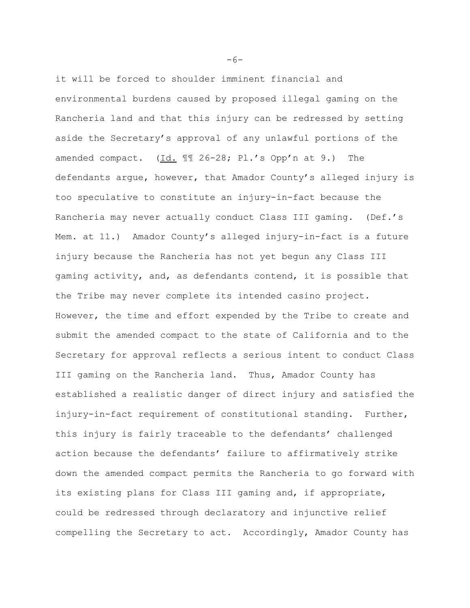it will be forced to shoulder imminent financial and environmental burdens caused by proposed illegal gaming on the Rancheria land and that this injury can be redressed by setting aside the Secretary's approval of any unlawful portions of the amended compact. (Id. ¶¶ 26-28; Pl.'s Opp'n at 9.) The defendants argue, however, that Amador County's alleged injury is too speculative to constitute an injury-in-fact because the Rancheria may never actually conduct Class III gaming. (Def.'s Mem. at 11.) Amador County's alleged injury-in-fact is a future injury because the Rancheria has not yet begun any Class III gaming activity, and, as defendants contend, it is possible that the Tribe may never complete its intended casino project. However, the time and effort expended by the Tribe to create and submit the amended compact to the state of California and to the Secretary for approval reflects a serious intent to conduct Class III gaming on the Rancheria land. Thus, Amador County has established a realistic danger of direct injury and satisfied the injury-in-fact requirement of constitutional standing. Further, this injury is fairly traceable to the defendants' challenged action because the defendants' failure to affirmatively strike down the amended compact permits the Rancheria to go forward with its existing plans for Class III gaming and, if appropriate, could be redressed through declaratory and injunctive relief compelling the Secretary to act. Accordingly, Amador County has

 $-6-$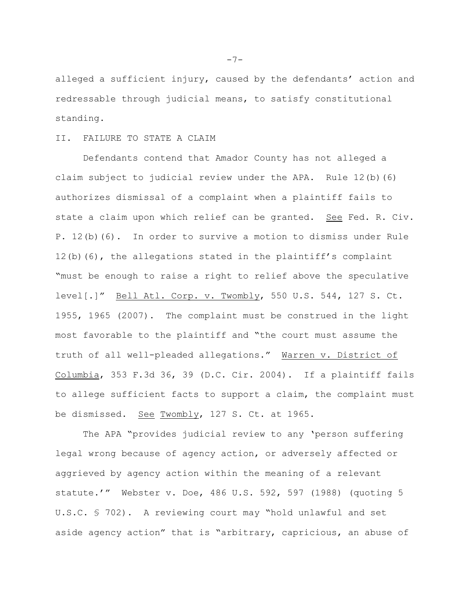alleged a sufficient injury, caused by the defendants' action and redressable through judicial means, to satisfy constitutional standing.

### II. FAILURE TO STATE A CLAIM

Defendants contend that Amador County has not alleged a claim subject to judicial review under the APA. Rule 12(b)(6) authorizes dismissal of a complaint when a plaintiff fails to state a claim upon which relief can be granted. See Fed. R. Civ. P. 12(b)(6). In order to survive a motion to dismiss under Rule 12(b)(6), the allegations stated in the plaintiff's complaint "must be enough to raise a right to relief above the speculative level[.]" Bell Atl. Corp. v. Twombly, 550 U.S. 544, 127 S. Ct. 1955, 1965 (2007). The complaint must be construed in the light most favorable to the plaintiff and "the court must assume the truth of all well-pleaded allegations." Warren v. District of Columbia, 353 F.3d 36, 39 (D.C. Cir. 2004). If a plaintiff fails to allege sufficient facts to support a claim, the complaint must be dismissed. See Twombly, 127 S. Ct. at 1965.

The APA "provides judicial review to any 'person suffering legal wrong because of agency action, or adversely affected or aggrieved by agency action within the meaning of a relevant statute.'" Webster v. Doe, 486 U.S. 592, 597 (1988) (quoting 5 U.S.C. § 702). A reviewing court may "hold unlawful and set aside agency action" that is "arbitrary, capricious, an abuse of

 $-7-$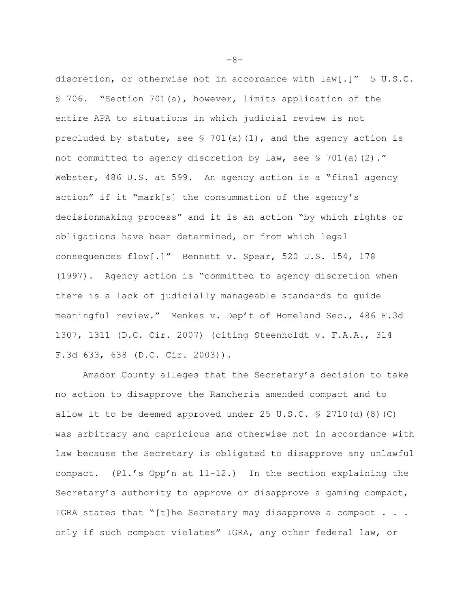discretion, or otherwise not in accordance with law[.]" 5 U.S.C. § 706. "Section 701(a), however, limits application of the entire APA to situations in which judicial review is not precluded by statute, see  $\frac{1}{2}$  701(a)(1), and the agency action is not committed to agency discretion by law, see  $\frac{1}{5}$  701(a)(2)." Webster, 486 U.S. at 599. An agency action is a "final agency action" if it "mark[s] the consummation of the agency's decisionmaking process" and it is an action "by which rights or obligations have been determined, or from which legal consequences flow[.]" Bennett v. Spear, 520 U.S. 154, 178 (1997). Agency action is "committed to agency discretion when there is a lack of judicially manageable standards to guide meaningful review." Menkes v. Dep't of Homeland Sec., 486 F.3d 1307, 1311 (D.C. Cir. 2007) (citing Steenholdt v. F.A.A., 314 F.3d 633, 638 (D.C. Cir. 2003)).

Amador County alleges that the Secretary's decision to take no action to disapprove the Rancheria amended compact and to allow it to be deemed approved under 25 U.S.C.  $\frac{1}{5}$  2710(d)(8)(C) was arbitrary and capricious and otherwise not in accordance with law because the Secretary is obligated to disapprove any unlawful compact.  $(Pl.'s$  Opp'n at  $11-12$ .) In the section explaining the Secretary's authority to approve or disapprove a gaming compact, IGRA states that "[t]he Secretary may disapprove a compact  $\ldots$ . only if such compact violates" IGRA, any other federal law, or

 $-8-$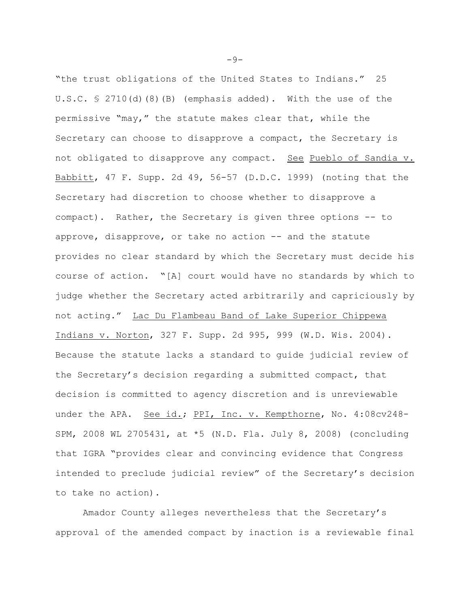"the trust obligations of the United States to Indians." 25 U.S.C. § 2710(d)(8)(B) (emphasis added). With the use of the permissive "may," the statute makes clear that, while the Secretary can choose to disapprove a compact, the Secretary is not obligated to disapprove any compact. See Pueblo of Sandia v. Babbitt, 47 F. Supp. 2d 49, 56-57 (D.D.C. 1999) (noting that the Secretary had discretion to choose whether to disapprove a compact). Rather, the Secretary is given three options -- to approve, disapprove, or take no action -- and the statute provides no clear standard by which the Secretary must decide his course of action. "[A] court would have no standards by which to judge whether the Secretary acted arbitrarily and capriciously by not acting." Lac Du Flambeau Band of Lake Superior Chippewa Indians v. Norton, 327 F. Supp. 2d 995, 999 (W.D. Wis. 2004). Because the statute lacks a standard to guide judicial review of the Secretary's decision regarding a submitted compact, that decision is committed to agency discretion and is unreviewable under the APA. See id.; PPI, Inc. v. Kempthorne, No. 4:08cv248- SPM, 2008 WL 2705431, at \*5 (N.D. Fla. July 8, 2008) (concluding that IGRA "provides clear and convincing evidence that Congress intended to preclude judicial review" of the Secretary's decision to take no action).

Amador County alleges nevertheless that the Secretary's approval of the amended compact by inaction is a reviewable final

 $-9-$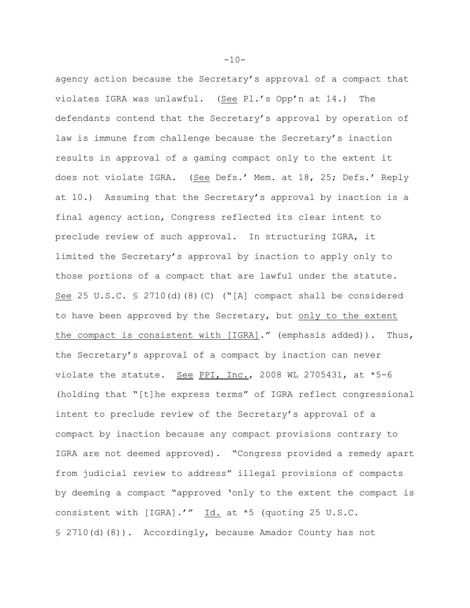agency action because the Secretary's approval of a compact that violates IGRA was unlawful. (See Pl.'s Opp'n at 14.) The defendants contend that the Secretary's approval by operation of law is immune from challenge because the Secretary's inaction results in approval of a gaming compact only to the extent it does not violate IGRA. (See Defs.' Mem. at 18, 25; Defs.' Reply at 10.) Assuming that the Secretary's approval by inaction is a final agency action, Congress reflected its clear intent to preclude review of such approval. In structuring IGRA, it limited the Secretary's approval by inaction to apply only to those portions of a compact that are lawful under the statute. See 25 U.S.C. § 2710(d)(8)(C) ("[A] compact shall be considered to have been approved by the Secretary, but only to the extent the compact is consistent with [IGRA]." (emphasis added)). Thus, the Secretary's approval of a compact by inaction can never violate the statute. See PPI, Inc., 2008 WL 2705431, at  $*5-6$ (holding that "[t]he express terms" of IGRA reflect congressional intent to preclude review of the Secretary's approval of a compact by inaction because any compact provisions contrary to IGRA are not deemed approved). "Congress provided a remedy apart from judicial review to address" illegal provisions of compacts by deeming a compact "approved 'only to the extent the compact is consistent with [IGRA].'" Id. at \*5 (quoting 25 U.S.C. § 2710(d)(8)). Accordingly, because Amador County has not

 $-10-$